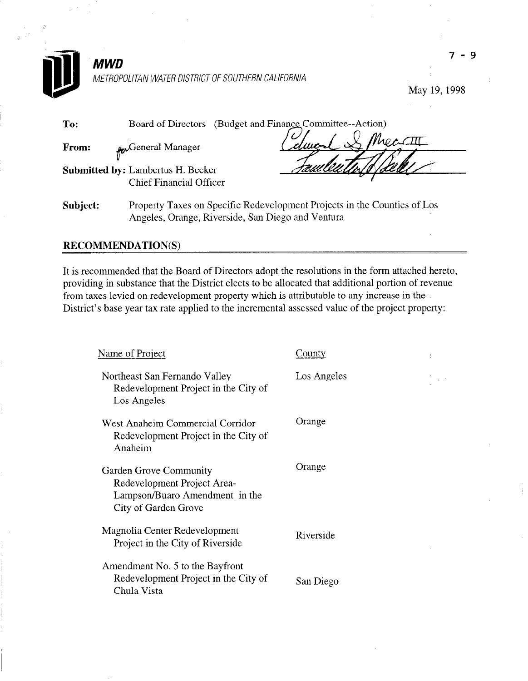

May 19, 1998

| To:      | (Budget and Finance Committee--Action)<br>Board of Directors                                                 |
|----------|--------------------------------------------------------------------------------------------------------------|
| From:    | durand & Measure<br><b>Po</b> General Manager                                                                |
|          | <u>Famlentin (f / delli / </u><br><b>Submitted by: Lambertus H. Becker</b><br><b>Chief Financial Officer</b> |
| Subject: | Property Taxes on Specific Redevelopment Projects in the Counties of Los                                     |

Angeles, Orange, Riverside, San Diego and Ventura

### RECOMMENDATION(S)

It is recommended that the Board of Directors adopt the resolutions in the form attached hereto, providing in substance that the District elects to be allocated that additional portion of revenue from taxes levied on redevelopment property which is attributable to any increase in the District's base year tax rate applied to the incremental assessed value of the project property:

| Name of Project                                                                                                 | County      |  |
|-----------------------------------------------------------------------------------------------------------------|-------------|--|
| Northeast San Fernando Valley<br>Redevelopment Project in the City of<br>Los Angeles                            | Los Angeles |  |
| <b>West Anaheim Commercial Corridor</b><br>Redevelopment Project in the City of<br>Anaheim                      | Orange      |  |
| Garden Grove Community<br>Redevelopment Project Area-<br>Lampson/Buaro Amendment in the<br>City of Garden Grove | Orange      |  |
| Magnolia Center Redevelopment<br>Project in the City of Riverside                                               | Riverside   |  |
| Amendment No. 5 to the Bayfront<br>Redevelopment Project in the City of<br>Chula Vista                          | San Diego   |  |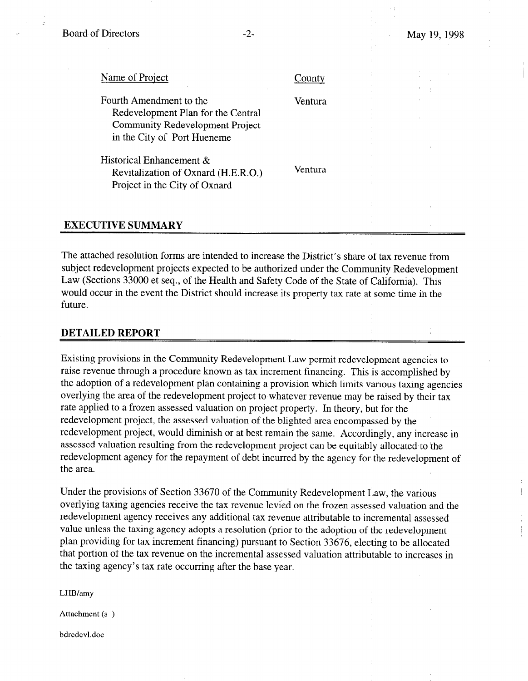| Name of Project                                                                                                                        | County  |  |
|----------------------------------------------------------------------------------------------------------------------------------------|---------|--|
| Fourth Amendment to the<br>Redevelopment Plan for the Central<br><b>Community Redevelopment Project</b><br>in the City of Port Hueneme | Ventura |  |
| Historical Enhancement &<br>Revitalization of Oxnard (H.E.R.O.)<br>Project in the City of Oxnard                                       | Ventura |  |
| <b>EXECUTIVE SUMMARY</b>                                                                                                               |         |  |

The attached resolution forms are intended to increase the District's share of tax revenue from subject redevelopment projects expected to be authorized under the Community Redevelopment Law (Sections 33000 et seq., of the Health and Safety Code of the State of California). This would occur in the event the District should increase its property tax rate at some time in the

### DETAILED REPORT

future.

Existing provisions in the Community Redevelopment Law permit redevelopment agencies to raise revenue through a procedure known as tax increment financing. This is accomplished by the adoption of a redevelopment plan containing a provision which limits various taxing agencies overlying the area of the redevelopment project to whatever revenue may be raised by their tax rate applied to a frozen assessed valuation on project property. In theory, but for the redevelopment project, the assessed valuation of the blighted area encompassed by the redevelopment project, would diminish or at best remain the same. Accordingly, any increase in assessed valuation resulting from the redevelopment project can be equitably allocated to the redevelopment agency for the repayment of debt incurred by the agency for the redevelopment of the area.

Under the provisions of Section 33670 of the Community Redevelopment Law, the various overlying taxing agencies receive the tax revenue levied on the frozen assessed valuation and the redevelopment agency receives any additional tax revenue attributable to incremental assessed value unless the taxing agency adopts a resolution (prior to the adoption of the redevelopment plan providing for tax increment financing) pursuant to Section 33676, electing to be allocated that portion of the tax revenue on the incremental assessed valuation attributable to increases in the taxing agency's tax rate occurring after the base year.

LHB/amy

Attachment (s )

bdredevl.doc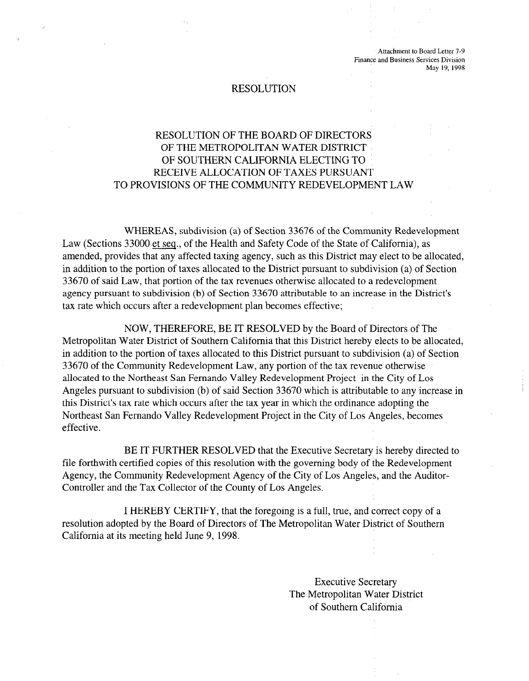### RESOLUTION

# RESOLUTION OF THE BOARD OF DIRECTORS OF THE METROPOLITAN WATER DISTRICT OF SOUTHERN CALIFORNIA ELECTING TO RECEIVE ALLOCATION OF TAXES PURSUANT TO PROVISIONS OF THE COMMUNITY REDEVELOPMENT LAW

WHEREAS, subdivision (a) of Section 33676 of the Community Redevelopment Law (Sections 33000 et seq., of the Health and Safety Code of the State of California), as amended, provides that any affected taxing agency, such as this District may elect to be allocated, in addition to the portion of taxes allocated to the District pursuant to subdivision (a) of Section 33670 of said Law, that portion of the tax revenues otherwise allocated to a redevelopment agency pursuant to subdivision (b) of Section 33670 attributable to an increase in the District's tax rate which occurs after a redevelopment plan becomes effective;

NOW, THEREFORE, BE IT RESOLVED by the Board of Directors of The  $M_{\rm H} = \frac{W_{\rm C}}{W_{\rm C}} = \frac{W_{\rm C}}{W_{\rm C}} = 1.4 \times 10^{14} \text{ m}$  that the output of  $W_{\rm C} = 10^{14} \text{ m}$ in addition to the position of southern california that this District hereby creets to be another in addition to the portion of taxes allocated to this District pursuant to subdivision (a) of Section 33670 of the Community Redevelopment Law, any portion of the tax revenue otherwise allocated to the Community Redevelopment Law, any portion of the tax revenue official was anotated to the Northeast San Fernando Valley Redevelopment Froject. In the City of Los Angeles pursuant to subdivision (b) of said Section 33670 which is attributable to any increase in this District's tax rate which occurs after the tax year in which the ordinance adopting the Northeast San Fernando Valley Redevelopment Project in the City of Los Angeles, becomes effective.

 $B_{\rm eff}$  is the Executive Secretary is the Executive Secretary is hereby directed to the Executive Secretary is hereby directed to the Executive Secretary is hereby directed to the Executive Secretary is hereby directed t **BE IT FURTHER RESOLVED that the Executive Secretary is hereby directed to** file forthwith certified copies of this resolution with the governing body of the Redevelopment Agency, the Community Redevelopment Agency of the City of Los Angeles, and the Auditor-Controller and the Tax Collector of the County of Los Angeles.

In Hereby certify, that the foregoing is a full, that the foregoing is a full, true, and correct copy of and copy of and copy of and copy of and copy of and copy of and copy of and copy of and copy of and copy of and copy

I HEREBY CERTIFY, that the foregoing is a full, true, and correct copy of a resolution adopted by the Board of Directors of The Metropolitan Water District of Southern California at its meeting held June 9, 1998.

> **Executive Secretary** The Metropolitan Water District of Southern California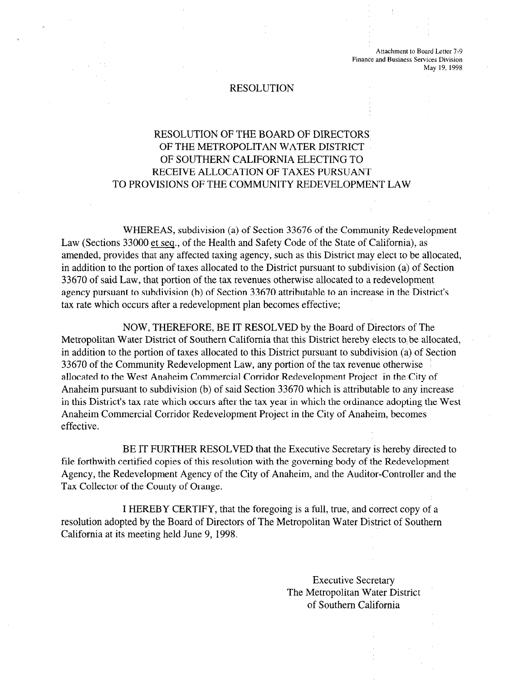#### RESOLUTION

# RESOLUTION OF THE BOARD OF DIRECTORS OF THE METROPOLITAN WATER DISTRICT OF SOUTHERN CALIFORNIA ELECTING TO RECEIVE ALLOCATION OF TAXES PURSUANT TO PROVISIONS OF THE COMMUNITY REDEVELOPMENT LAW

WHEREAS, subdivision (a) of Section 33676 of the Community Redevelopment Law (Sections 33000 et seq., of the Health and Safety Code of the State of California), as amended, provides that any affected taxing agency, such as this District may elect to be allocated, in addition to the portion of taxes allocated to the District pursuant to subdivision (a) of Section 33670 of said Law, that portion of the tax revenues otherwise allocated to a redevelopment agency pursuant to subdivision (b) of Section 33670 attributable to an increase in the District's tax rate which occurs after a redevelopment plan becomes effective;

NOW, THEREFORE, BE IT RESOLVED by the Board of Directors of The  $M_{\rm H} = 100$  Metropolitan Water District of Southern California that the allocated,  $B_{\rm H} = 0.6$ in addition to the position of bounder current allocated the position pursuant to subdivision (a) of Section ( in addition to the portion of taxes allocated to this District pursuant to subdivision (a) of Section 33670 of the Community Redevelopment Law, any portion of the tax revenue otherwise allocated to the West Anaheim Commercial Corridor Redevelopment Project in the City of Anaheim pursuant to subdivision (b) of said Section 33670 which is attributable to any increase in this District's tax rate which occurs after the tax year in which the ordinance adopting the West Anaheim Commercial Corridor Redevelopment Project in the City of Anaheim, becomes effective.

 $B_{\rm eff}$  is the Executive Secretary is the Executive Secretary is hereby directed to the Executive Secretary is directed to the Executive Secretary is hereby directed to the Executive Secretary is directed to the Executiv BE IT FURTHER RESOLVED that the Executive Secretary is hereby directed to file forthwith certified copies of this resolution with the governing body of the Redevelopment Agency, the Redevelopment Agency of the City of Anaheim, and the Auditor-Controller and the Tax Collector of the County of Orange.

I HEREBY CERTIFY, that the foregoing is a full, true, and correct copy of a

I HEREBY CERTIFY, that the foregoing is a full, true, and correct copy of a resolution adopted by the Board of Directors of The Metropolitan Water District of Southern California at its meeting held June 9, 1998.

> Executive Secretary The Metropolitan Water District of Southern California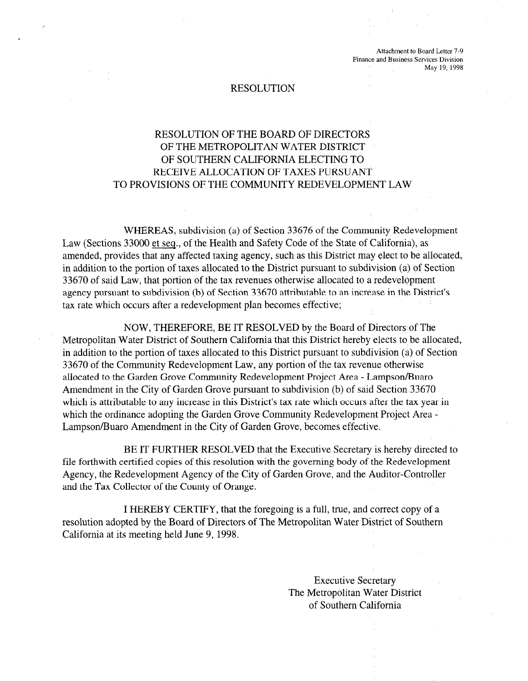### RESOLUTION

# RESOLUTION OF THE BOARD OF DIRECTORS OF THE METROPOLITAN WATER DISTRICT OF SOUTHERN CALIFORNIA ELECTING TO RECEIVE ALLOCATION OF TAXES PURSUANT TO PROVISIONS OF THE COMMUNITY REDEVELOPMENT LAW

WHEREAS, subdivision (a) of Section 33676 of the Community Redevelopment Law (Sections 33000 et seq., of the Health and Safety Code of the State of California), as amended, provides that any affected taxing agency, such as this District may elect to be allocated, in addition to the portion of taxes allocated to the District pursuant to subdivision (a) of Section 33670 of said Law, that portion of the tax revenues otherwise allocated to a redevelopment agency pursuant to subdivision (b) of Section 33670 attributable to an increase in the District's tax rate which occurs after a redevelopment plan becomes effective;

NOW, THEREFORE, BE IT RESOLVED by the Board of Directors of The  $M_{\rm H} = 1000$ ,  $M_{\rm H} = 200$  and  $M_{\rm H} = 200$  and  $M_{\rm H} = 200$  and  $M_{\rm H} = 200$ in addition to the position of southern california that this District hereby creets to be another in addition to the portion of taxes allocated to this District pursuant to subdivision (a) of Section 33670 of the Community Redevelopment Law, any portion of the tax revenue otherwise allocated to the Garden Grove Community Redevelopment Project Area - Lampson/Buaro Amendment in the City of Garden Grove pursuant to subdivision (b) of said Section 33670 which is attributable to any increase in this District's tax rate which occurs after the tax year in which the ordinance adopting the Garden Grove Community Redevelopment Project Area -<br>Lampson/Buaro Amendment in the City of Garden Grove, becomes effective.

 $B = \frac{1}{2} \ln \left( \frac{1}{2} \right)$  further resolved that the Executive Secretary is hereby directed to the Executive Secretary is hereby directed to the Executive Secretary is defined to the Executive Secretary is defined to the **FILE FILE FORTHER RESOLVED that the Executive Secretary is hereby directed to** file forthwith certified copies of this resolution with the governing body of the Redevelopment Agency, the Redevelopment Agency of the City of Garden Grove, and the Auditor-Controller and the Tax Collector of the County of Orange.

I HEREBY CERTIFY, that the foregoing is a full, true, and correct copy of a resolution adopted by the Board of Directors of The Metropolitan Water District of Southern California at its meeting held June 9, 1998.

> **Executive Secretary** The Metropolitan Water District of Southern California

 $\mathbb{E}_{\mathbb{E}_{\mathbb{E}_{\mathbb{E}_{\mathbb{E}_{\mathbb{E}_{\mathbb{E}_{\mathbb{E}_{\mathbb{E}_{\mathbb{E}_{\mathbb{E}}\mathbb{E}_{\mathbb{E}_{\mathbb{E}}\mathbb{E}_{\mathbb{E}}\mathbb{E}_{\mathbb{E}}\mathbb{E}_{\mathbb{E}}\mathbb{E}}\mathbb{E}_{\mathbb{E}}\mathbb{E}_{\mathbb{E}_{\mathbb{E}}\mathbb{E}_{\mathbb{E}}\mathbb{E}_{\mathbb{E}}\mathbb{E}_{\mathbb{E}_{\mathbb{E}}\mathbb{E}_{\mathbb{E}}\mathbb{E}_{\mathbb{$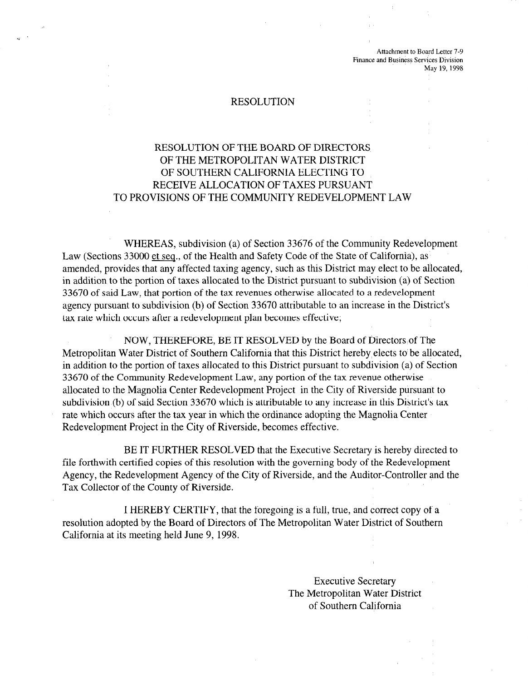### RESOLUTION

# RESOLUTION OF THE BOARD OF DIRECTORS OF THE METROPOLITAN WATER DISTRICT OF SOUTHERN CALIFORNIA ELECTING TO RECEIVE ALLOCATION OF TAXES PURSUANT TO PROVISIONS OF THE COMMUNITY REDEVELOPMENT LAW

WHEREAS, subdivision (a) of Section 33676 of the Community Redevelopment Law (Sections 33000 et seq., of the Health and Safety Code of the State of California), as amended, provides that any affected taxing agency, such as this District may elect to be allocated, in addition to the portion of taxes allocated to the District pursuant to subdivision (a) of Section 33670 of said Law, that portion of the tax revenues otherwise allocated to a redevelopment agency pursuant to subdivision (b) of Section 33670 attributable to an increase in the District's tax rate which occurs after a redevelopment plan becomes effective;

NOW, THEREFORE, BE IT RESOLVED by the Board of Directors'of The  $M_{\rm H} = 100$  Metropolitan Water District of Southern California that the allocated,  $M_{\rm H} = 100$ in addition to the position of southern california that this District hereby elects to be anotherned in addition to the portion of taxes allocated to this District pursuant to subdivision (a) of Section 33670 of the Community Redevelopment Law, any portion of the tax revenue otherwise allocated to the Magnolia Center Redevelopment Project in the City of Riverside pursuant to subdivision (b) of said Section 33670 which is attributable to any increase in this District's tax rate which occurs after the tax year in which the ordinance adopting the Magnolia Center Redevelopment Project in the City of Riverside, becomes effective.

**FILE FILE FORTHER RESOLVED that the Executive Secretary is hereby directed to** file forthwith certified copies of this resolution with the governing body of the Redevelopment Agency, the Redevelopment Agency of the City of Riverside, and the Auditor-Controller and the Tax Collector of the County of Riverside.

In Hereby certify, that the foregoing is a full, that the foregoing is a full, true, and computed computations

I HEREBY CERTIFY, that the foregoing is a full, true, and correct copy of a resolution adopted by the Board of Directors of The Metropolitan Water District of Southern California at its meeting held June 9, 1998.

> **Executive Secretary** The Metropolitan Water District of Southern California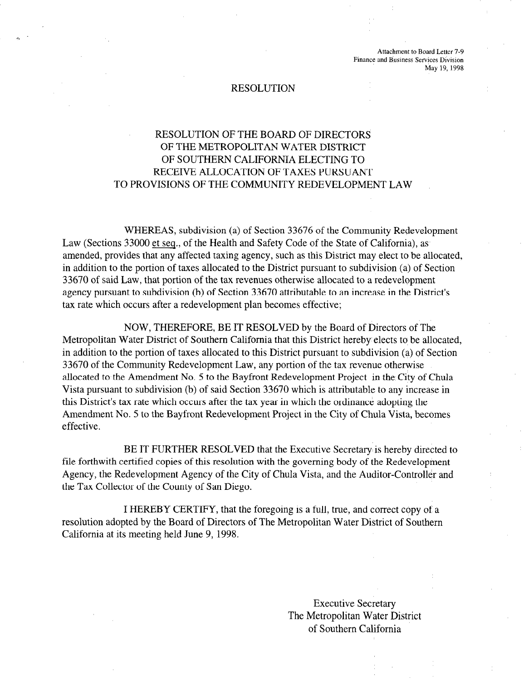#### RESOLUTION

# RESOLUTION OF THE BOARD OF DIRECTORS OF THE METROPOLITAN WATER DISTRICT OF SOUTHERN CALIFORNIA ELECTING TO RECEIVE ALLOCATION OF TAXES PURSUANT TO PROVISIONS OF THE COMMUNITY REDEVELOPMENT LAW

WHEREAS, subdivision (a) of Section 33676 of the Community Redevelopment Law (Sections 33000 et seq., of the Health and Safety Code of the State of California), as amended, provides that any affected taxing agency, such as this District may elect to be allocated, in addition to the portion of taxes allocated to the District pursuant to subdivision (a) of Section 33670 of said Law, that portion of the tax revenues otherwise allocated to a redevelopment agency pursuant to subdivision (b) of Section 33670 attributable to an increase in the District's tax rate which occurs after a redevelopment plan becomes effective;

NOW, THEREFORE, BE IT RESOLVED by the Board of Directors of The  $M_{\odot}$  . The  $W_{\odot}$  District of Southern California that the southern California that the allocated, the allocated, the allocated, the allocated, the allocated, the allocated, the allocated, the allocated, the allocat in addition to the position of the power allocated the position for the problem of  $\alpha$  and  $\alpha$ in addition to the portion of taxes allocated to this District pursuant to subdivision (a) of Section 33670 of the Community Redevelopment Law, any portion of the tax revenue otherwise  $33070$  of the Community Redevelopment Law, any portion of the tax revenue officially and also which which is a subdivision of subdivision in the City of Church in the City of Church in the City of Vista pursuant to subdivision (b) of said Section 33670 which is attributable to any increase in this District's tax rate which occurs after the tax year in which the ordinance adopting the Amendment No. 5 to the Bayfront Redevelopment Project in the City of Chula Vista, becomes effective.

BE IT FURTHER RESOLVED that the Executive Secretary is the Executive Secretary is hereby directed to the Executive Secretary is hereby directed to the Executive Secretary is defined to the Executive Secretary is defined t **BE IT FURTHER RESOLVED that the Executive Secretary is hereby directed to** file forthwith certified copies of this resolution with the governing body of the Redevelopment Agency, the Redevelopment Agency of the City of Chula Vista, and the Auditor-Controller and the Tax Collector of the County of San Diego.

In Hereby certify, that the foregoing is a full, that the foregoing is a full, true, and correct copy of and co

I HEREBY CERTIFY, that the foregoing is a full, true, and correct copy of a resolution adopted by the Board of Directors of The Metropolitan Water District of Southern California at its meeting held June 9, 1998.

> **Executive Secretary** The Metropolitan Water District of Southern California

Executive Secretary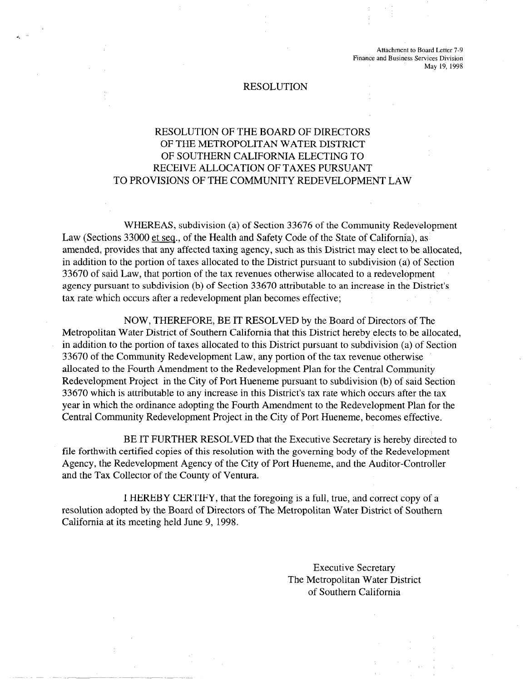#### RESOLUTION

### RESOLUTION OF THE BOARD OF DIRECTORS OF THE METROPOLITAN WATER DISTRICT OF SOUTHERN CALIFORNIA ELECTING TO RECEIVE ALLOCATION OF TAXES PURSUANT TO PROVISIONS OF THE COMMUNITY REDEVELOPMENT LAW

WHEREAS, subdivision (a) of Section 33676 of the Community Redevelopment Law (Sections 33000 et seq., of the Health and Safety Code of the State of California), as amended, provides that any affected taxing agency, such as this District may elect to be allocated, in addition to the portion of taxes allocated to the District pursuant to subdivision (a) of Section 33670 of said Law, that portion of the tax revenues otherwise allocated to a redevelopment agency pursuant to subdivision (b) of Section 33670 attributable to an increase in the District's tax rate which occurs after a redevelopment plan becomes effective;

NOW, THEREFORE, BE IT RESOLVED by the Board of Directors of The Metropolitan Water District of Southern California that this District hereby elects to be allocated, in addition to the portion of taxes allocated to this District pursuant to subdivision (a) of Section 33670 of the Community Redevelopment Law, any portion of the tax revenue otherwise allocated to the Fourth Amendment to the Redevelopment Plan for the Central Community Redevelopment Project in the City of Port Hueneme pursuant to subdivision (b) of said Section 33670 which is attributable to any increase in this District's tax rate which occurs after the tax year in which the ordinance adopting the Fourth Amendment to the Redevelopment Plan for the Central Community Redevelopment Project in the City of Port Hueneme, becomes effective.

BE IT FURTHER RESOLVED that the Executive Secretary is hereby directed to file forthwith certified copies of this resolution with the governing body of the Redevelopment Agency, the Redevelopment Agency of the City of Port Hueneme, and the Auditor-Controller and the Tax Collector of the County of Ventura.

I HEREBY CERTIFY, that the foregoing is a full, true, and correct copy of a resolution adopted by the Board of Directors of The Metropolitan Water District of Southern California at its meeting held June 9, 1998.

> Executive Secretary The Metropolitan Water District of Southern California